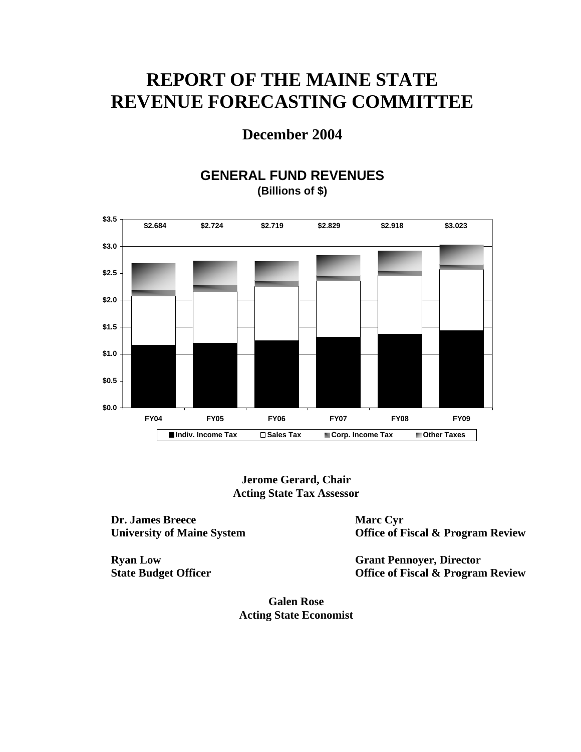# **REPORT OF THE MAINE STATE REVENUE FORECASTING COMMITTEE**

# **December 2004**

# **GENERAL FUND REVENUES (Billions of \$)**



**Jerome Gerard, Chair Acting State Tax Assessor** 

**Dr. James Breece University of Maine System** 

**Ryan Low State Budget Officer** 

**Marc Cyr Office of Fiscal & Program Review** 

**Grant Pennoyer, Director Office of Fiscal & Program Review** 

**Galen Rose Acting State Economist**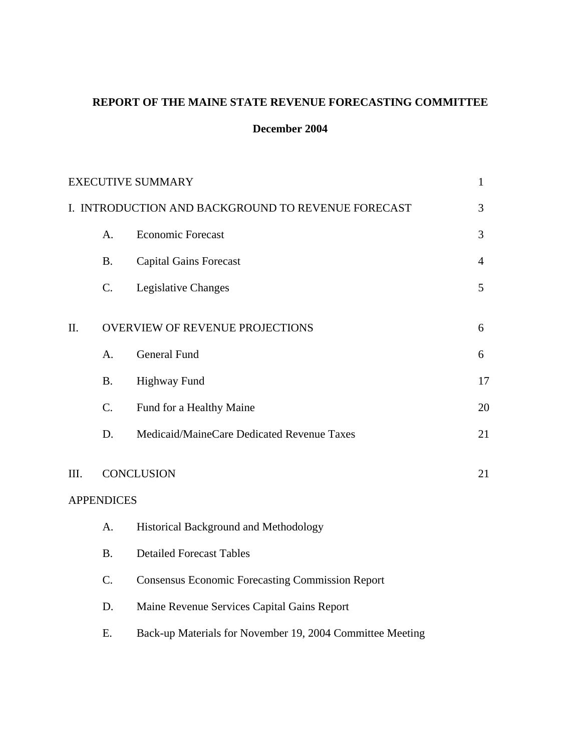## **REPORT OF THE MAINE STATE REVENUE FORECASTING COMMITTEE**

## **December 2004**

|      |                   | <b>EXECUTIVE SUMMARY</b>                                  | $\mathbf{1}$ |
|------|-------------------|-----------------------------------------------------------|--------------|
|      |                   | I. INTRODUCTION AND BACKGROUND TO REVENUE FORECAST        | 3            |
|      | A.                | <b>Economic Forecast</b>                                  | 3            |
|      | <b>B.</b>         | <b>Capital Gains Forecast</b>                             | 4            |
|      | C.                | Legislative Changes                                       | 5            |
| Π.   |                   | <b>OVERVIEW OF REVENUE PROJECTIONS</b>                    | 6            |
|      | A.                | <b>General Fund</b>                                       | 6            |
|      | <b>B.</b>         | <b>Highway Fund</b>                                       | 17           |
|      | C.                | Fund for a Healthy Maine                                  | 20           |
|      | D.                | Medicaid/MaineCare Dedicated Revenue Taxes                | 21           |
| III. |                   | <b>CONCLUSION</b>                                         | 21           |
|      | <b>APPENDICES</b> |                                                           |              |
|      | A.                | Historical Background and Methodology                     |              |
|      | <b>B.</b>         | <b>Detailed Forecast Tables</b>                           |              |
|      | C.                | <b>Consensus Economic Forecasting Commission Report</b>   |              |
|      | D.                | Maine Revenue Services Capital Gains Report               |              |
|      | Ε.                | Back-up Materials for November 19, 2004 Committee Meeting |              |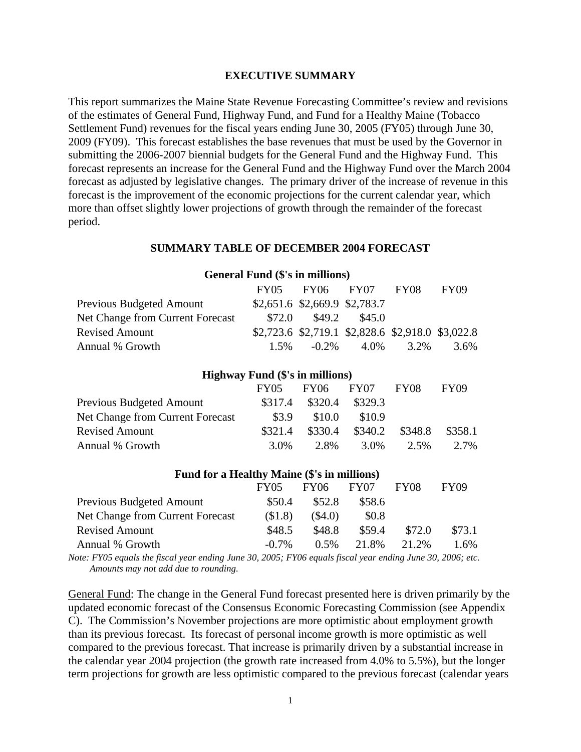#### **EXECUTIVE SUMMARY**

This report summarizes the Maine State Revenue Forecasting Committee's review and revisions of the estimates of General Fund, Highway Fund, and Fund for a Healthy Maine (Tobacco Settlement Fund) revenues for the fiscal years ending June 30, 2005 (FY05) through June 30, 2009 (FY09). This forecast establishes the base revenues that must be used by the Governor in submitting the 2006-2007 biennial budgets for the General Fund and the Highway Fund. This forecast represents an increase for the General Fund and the Highway Fund over the March 2004 forecast as adjusted by legislative changes. The primary driver of the increase of revenue in this forecast is the improvement of the economic projections for the current calendar year, which more than offset slightly lower projections of growth through the remainder of the forecast period.

#### **SUMMARY TABLE OF DECEMBER 2004 FORECAST**

| General Fund (\$'s in millions)  |         |                                                   |        |      |             |  |
|----------------------------------|---------|---------------------------------------------------|--------|------|-------------|--|
|                                  | FY05    | $FY06$ $FY07$                                     |        | FY08 | <b>FY09</b> |  |
| Previous Budgeted Amount         |         | $$2,651.6$ \$2,669.9 \$2,783.7                    |        |      |             |  |
| Net Change from Current Forecast | \$72.0  | \$49.2                                            | \$45.0 |      |             |  |
| <b>Revised Amount</b>            |         | \$2,723.6 \$2,719.1 \$2,828.6 \$2,918.0 \$3,022.8 |        |      |             |  |
| Annual % Growth                  | $1.5\%$ | $-0.2\%$                                          | 4.0%   | 3.2% | 3.6%        |  |

| <b>Highway Fund (\$'s in millions)</b> |             |         |         |                  |             |  |
|----------------------------------------|-------------|---------|---------|------------------|-------------|--|
|                                        | <b>FY05</b> | FY06    | FY07    | FY <sub>08</sub> | <b>FY09</b> |  |
| Previous Budgeted Amount               | \$317.4     | \$320.4 | \$329.3 |                  |             |  |
| Net Change from Current Forecast       | \$3.9       | \$10.0  | \$10.9  |                  |             |  |
| <b>Revised Amount</b>                  | \$321.4     | \$330.4 | \$340.2 | \$348.8          | \$358.1     |  |
| Annual % Growth                        | 3.0%        | 2.8%    | 3.0%    | 2.5%             | 2.7%        |  |

| Fund for a Healthy Maine (\$'s in millions) |          |           |                  |             |             |  |
|---------------------------------------------|----------|-----------|------------------|-------------|-------------|--|
|                                             | FY05     | FY06      | FY <sub>07</sub> | <b>FY08</b> | <b>FY09</b> |  |
| <b>Previous Budgeted Amount</b>             | \$50.4   | \$52.8    | \$58.6           |             |             |  |
| Net Change from Current Forecast            | \$1.8    | $(\$4.0)$ | \$0.8            |             |             |  |
| <b>Revised Amount</b>                       | \$48.5   | \$48.8    | \$59.4           | \$72.0      | \$73.1      |  |
| Annual % Growth                             | $-0.7\%$ | 0.5%      | 21.8%            | 2.1.2%      | 1.6%        |  |

*Note: FY05 equals the fiscal year ending June 30, 2005; FY06 equals fiscal year ending June 30, 2006; etc. Amounts may not add due to rounding.* 

General Fund: The change in the General Fund forecast presented here is driven primarily by the updated economic forecast of the Consensus Economic Forecasting Commission (see Appendix C). The Commission's November projections are more optimistic about employment growth than its previous forecast. Its forecast of personal income growth is more optimistic as well compared to the previous forecast. That increase is primarily driven by a substantial increase in the calendar year 2004 projection (the growth rate increased from 4.0% to 5.5%), but the longer term projections for growth are less optimistic compared to the previous forecast (calendar years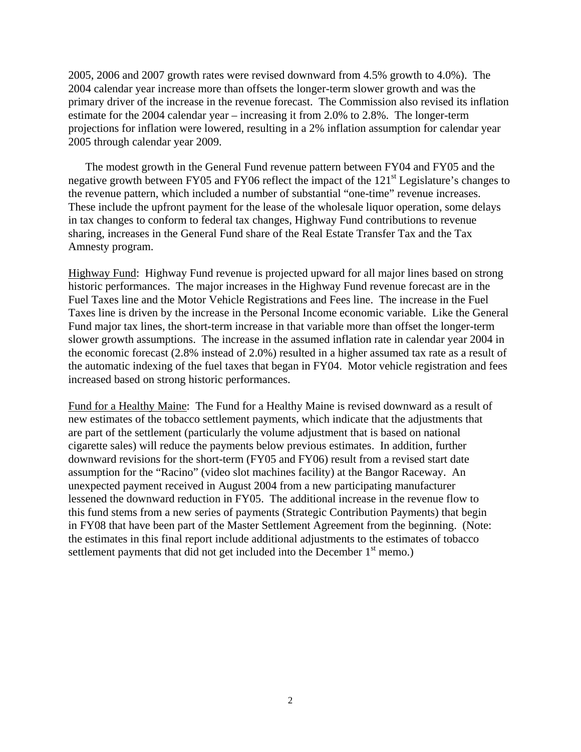2005, 2006 and 2007 growth rates were revised downward from 4.5% growth to 4.0%). The 2004 calendar year increase more than offsets the longer-term slower growth and was the primary driver of the increase in the revenue forecast. The Commission also revised its inflation estimate for the 2004 calendar year – increasing it from 2.0% to 2.8%. The longer-term projections for inflation were lowered, resulting in a 2% inflation assumption for calendar year 2005 through calendar year 2009.

 The modest growth in the General Fund revenue pattern between FY04 and FY05 and the negative growth between FY05 and FY06 reflect the impact of the 121<sup>st</sup> Legislature's changes to the revenue pattern, which included a number of substantial "one-time" revenue increases. These include the upfront payment for the lease of the wholesale liquor operation, some delays in tax changes to conform to federal tax changes, Highway Fund contributions to revenue sharing, increases in the General Fund share of the Real Estate Transfer Tax and the Tax Amnesty program.

Highway Fund: Highway Fund revenue is projected upward for all major lines based on strong historic performances. The major increases in the Highway Fund revenue forecast are in the Fuel Taxes line and the Motor Vehicle Registrations and Fees line. The increase in the Fuel Taxes line is driven by the increase in the Personal Income economic variable. Like the General Fund major tax lines, the short-term increase in that variable more than offset the longer-term slower growth assumptions. The increase in the assumed inflation rate in calendar year 2004 in the economic forecast (2.8% instead of 2.0%) resulted in a higher assumed tax rate as a result of the automatic indexing of the fuel taxes that began in FY04. Motor vehicle registration and fees increased based on strong historic performances.

Fund for a Healthy Maine: The Fund for a Healthy Maine is revised downward as a result of new estimates of the tobacco settlement payments, which indicate that the adjustments that are part of the settlement (particularly the volume adjustment that is based on national cigarette sales) will reduce the payments below previous estimates. In addition, further downward revisions for the short-term (FY05 and FY06) result from a revised start date assumption for the "Racino" (video slot machines facility) at the Bangor Raceway. An unexpected payment received in August 2004 from a new participating manufacturer lessened the downward reduction in FY05. The additional increase in the revenue flow to this fund stems from a new series of payments (Strategic Contribution Payments) that begin in FY08 that have been part of the Master Settlement Agreement from the beginning. (Note: the estimates in this final report include additional adjustments to the estimates of tobacco settlement payments that did not get included into the December  $1<sup>st</sup>$  memo.)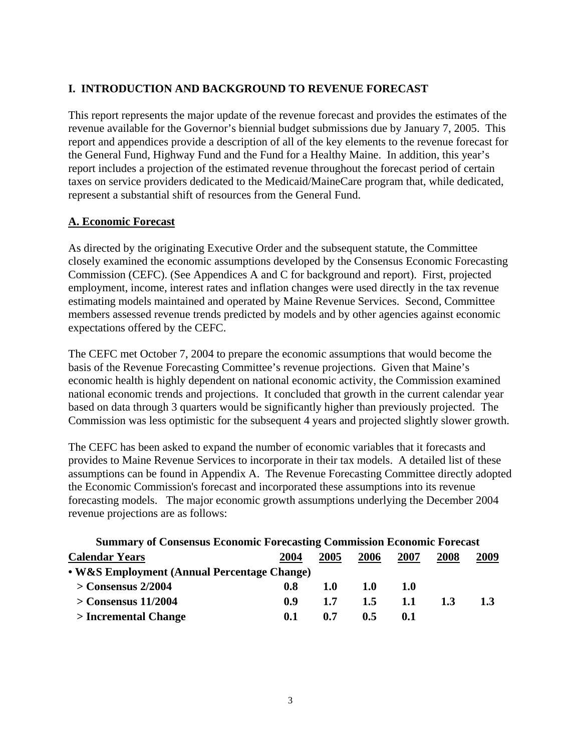## **I. INTRODUCTION AND BACKGROUND TO REVENUE FORECAST**

This report represents the major update of the revenue forecast and provides the estimates of the revenue available for the Governor's biennial budget submissions due by January 7, 2005. This report and appendices provide a description of all of the key elements to the revenue forecast for the General Fund, Highway Fund and the Fund for a Healthy Maine. In addition, this year's report includes a projection of the estimated revenue throughout the forecast period of certain taxes on service providers dedicated to the Medicaid/MaineCare program that, while dedicated, represent a substantial shift of resources from the General Fund.

## **A. Economic Forecast**

As directed by the originating Executive Order and the subsequent statute, the Committee closely examined the economic assumptions developed by the Consensus Economic Forecasting Commission (CEFC). (See Appendices A and C for background and report). First, projected employment, income, interest rates and inflation changes were used directly in the tax revenue estimating models maintained and operated by Maine Revenue Services. Second, Committee members assessed revenue trends predicted by models and by other agencies against economic expectations offered by the CEFC.

The CEFC met October 7, 2004 to prepare the economic assumptions that would become the basis of the Revenue Forecasting Committee's revenue projections. Given that Maine's economic health is highly dependent on national economic activity, the Commission examined national economic trends and projections. It concluded that growth in the current calendar year based on data through 3 quarters would be significantly higher than previously projected. The Commission was less optimistic for the subsequent 4 years and projected slightly slower growth.

The CEFC has been asked to expand the number of economic variables that it forecasts and provides to Maine Revenue Services to incorporate in their tax models. A detailed list of these assumptions can be found in Appendix A. The Revenue Forecasting Committee directly adopted the Economic Commission's forecast and incorporated these assumptions into its revenue forecasting models. The major economic growth assumptions underlying the December 2004 revenue projections are as follows:

| <b>Summary of Consensus Economic Forecasting Commission Economic Forecast</b> |      |            |      |      |      |      |
|-------------------------------------------------------------------------------|------|------------|------|------|------|------|
| <b>Calendar Years</b>                                                         | 2004 | 2005       | 2006 | 2007 | 2008 | 2009 |
| • W&S Employment (Annual Percentage Change)                                   |      |            |      |      |      |      |
| $>$ Consensus 2/2004                                                          | 0.8  | <b>1.0</b> | 1.0  | 1.0  |      |      |
| $>$ Consensus 11/2004                                                         | 0.9  | 1.7        | 1.5  | 1.1  | 1.3  | 1.3  |
| > Incremental Change                                                          | 0.1  | 0.7        | 0.5  | 0.1  |      |      |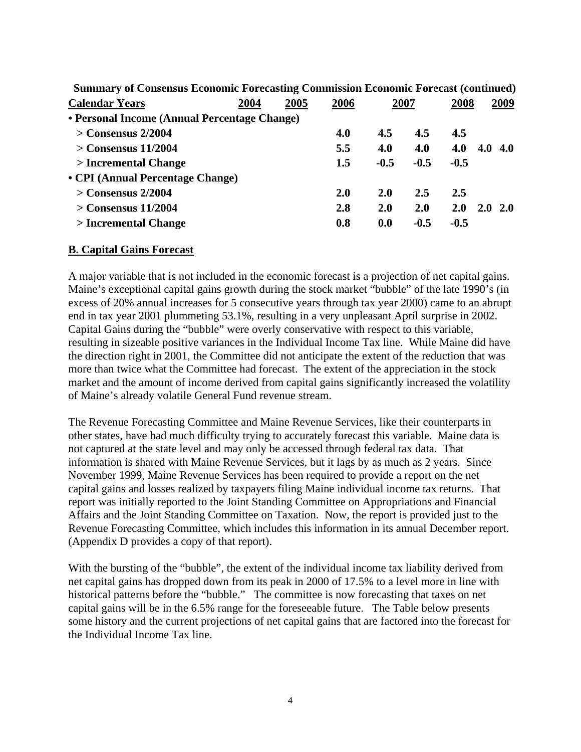| Summary of Consensus Economic Forecasting Commission Economic Forecast (continued) |      |      |      |        |        |        |            |
|------------------------------------------------------------------------------------|------|------|------|--------|--------|--------|------------|
| <b>Calendar Years</b>                                                              | 2004 | 2005 | 2006 |        | 2007   | 2008   | 2009       |
| • Personal Income (Annual Percentage Change)                                       |      |      |      |        |        |        |            |
| $>$ Consensus 2/2004                                                               |      |      | 4.0  | 4.5    | 4.5    | 4.5    |            |
| $>$ Consensus 11/2004                                                              |      |      | 5.5  | 4.0    | 4.0    | 4.0    | $4.0\;4.0$ |
| > Incremental Change                                                               |      |      | 1.5  | $-0.5$ | $-0.5$ | $-0.5$ |            |
| • CPI (Annual Percentage Change)                                                   |      |      |      |        |        |        |            |
| $>$ Consensus 2/2004                                                               |      |      | 2.0  | 2.0    | 2.5    | 2.5    |            |
| $>$ Consensus 11/2004                                                              |      |      | 2.8  | 2.0    | 2.0    | 2.0    | $2.0\ 2.0$ |
| > Incremental Change                                                               |      |      | 0.8  | 0.0    | $-0.5$ | $-0.5$ |            |
|                                                                                    |      |      |      |        |        |        |            |

**Summary of Consensus Economic Forecasting Commission Economic Forecast (continued)**

#### **B. Capital Gains Forecast**

A major variable that is not included in the economic forecast is a projection of net capital gains. Maine's exceptional capital gains growth during the stock market "bubble" of the late 1990's (in excess of 20% annual increases for 5 consecutive years through tax year 2000) came to an abrupt end in tax year 2001 plummeting 53.1%, resulting in a very unpleasant April surprise in 2002. Capital Gains during the "bubble" were overly conservative with respect to this variable, resulting in sizeable positive variances in the Individual Income Tax line. While Maine did have the direction right in 2001, the Committee did not anticipate the extent of the reduction that was more than twice what the Committee had forecast. The extent of the appreciation in the stock market and the amount of income derived from capital gains significantly increased the volatility of Maine's already volatile General Fund revenue stream.

The Revenue Forecasting Committee and Maine Revenue Services, like their counterparts in other states, have had much difficulty trying to accurately forecast this variable. Maine data is not captured at the state level and may only be accessed through federal tax data. That information is shared with Maine Revenue Services, but it lags by as much as 2 years. Since November 1999, Maine Revenue Services has been required to provide a report on the net capital gains and losses realized by taxpayers filing Maine individual income tax returns. That report was initially reported to the Joint Standing Committee on Appropriations and Financial Affairs and the Joint Standing Committee on Taxation. Now, the report is provided just to the Revenue Forecasting Committee, which includes this information in its annual December report. (Appendix D provides a copy of that report).

With the bursting of the "bubble", the extent of the individual income tax liability derived from net capital gains has dropped down from its peak in 2000 of 17.5% to a level more in line with historical patterns before the "bubble." The committee is now forecasting that taxes on net capital gains will be in the 6.5% range for the foreseeable future. The Table below presents some history and the current projections of net capital gains that are factored into the forecast for the Individual Income Tax line.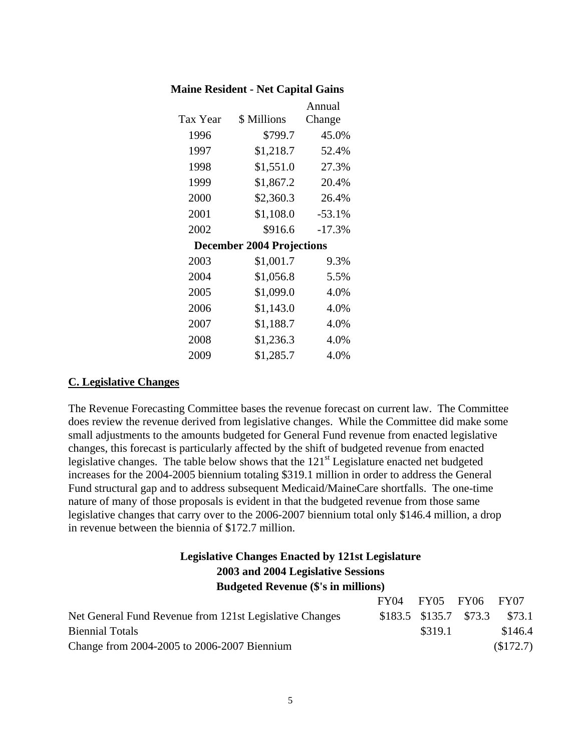| <b>Maine Resident - Net Capital Gains</b> |  |
|-------------------------------------------|--|
|-------------------------------------------|--|

|          |                                  | Annual   |
|----------|----------------------------------|----------|
| Tax Year | \$ Millions                      | Change   |
| 1996     | \$799.7                          | 45.0%    |
| 1997     | \$1,218.7                        | 52.4%    |
| 1998     | \$1,551.0                        | 27.3%    |
| 1999     | \$1,867.2                        | 20.4%    |
| 2000     | \$2,360.3                        | 26.4%    |
| 2001     | \$1,108.0                        | $-53.1%$ |
| 2002     | \$916.6                          | $-17.3%$ |
|          | <b>December 2004 Projections</b> |          |
| 2003     | \$1,001.7                        | 9.3%     |
| 2004     | \$1,056.8                        | 5.5%     |
| 2005     | \$1,099.0                        | 4.0%     |
| 2006     | \$1,143.0                        | 4.0%     |
| 2007     | \$1,188.7                        | 4.0%     |
| 2008     | \$1,236.3                        | 4.0%     |
| 2009     | \$1,285.7                        | 4.0%     |

#### **C. Legislative Changes**

The Revenue Forecasting Committee bases the revenue forecast on current law. The Committee does review the revenue derived from legislative changes. While the Committee did make some small adjustments to the amounts budgeted for General Fund revenue from enacted legislative changes, this forecast is particularly affected by the shift of budgeted revenue from enacted legislative changes. The table below shows that the 121<sup>st</sup> Legislature enacted net budgeted increases for the 2004-2005 biennium totaling \$319.1 million in order to address the General Fund structural gap and to address subsequent Medicaid/MaineCare shortfalls. The one-time nature of many of those proposals is evident in that the budgeted revenue from those same legislative changes that carry over to the 2006-2007 biennium total only \$146.4 million, a drop in revenue between the biennia of \$172.7 million.

## **Legislative Changes Enacted by 121st Legislature 2003 and 2004 Legislative Sessions Budgeted Revenue (\$'s in millions)**

|                                                         | FY04 FY05 FY06 FY07    |         |         |
|---------------------------------------------------------|------------------------|---------|---------|
| Net General Fund Revenue from 121st Legislative Changes | \$183.5 \$135.7 \$73.3 |         | \$73.1  |
| <b>Biennial Totals</b>                                  |                        | \$319.1 | \$146.4 |
| Change from 2004-2005 to 2006-2007 Biennium             |                        |         | \$172.7 |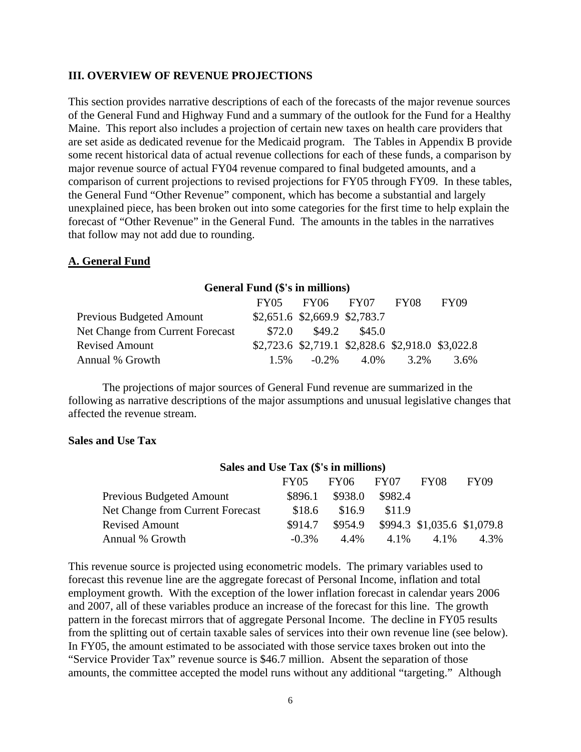#### **III. OVERVIEW OF REVENUE PROJECTIONS**

This section provides narrative descriptions of each of the forecasts of the major revenue sources of the General Fund and Highway Fund and a summary of the outlook for the Fund for a Healthy Maine. This report also includes a projection of certain new taxes on health care providers that are set aside as dedicated revenue for the Medicaid program. The Tables in Appendix B provide some recent historical data of actual revenue collections for each of these funds, a comparison by major revenue source of actual FY04 revenue compared to final budgeted amounts, and a comparison of current projections to revised projections for FY05 through FY09. In these tables, the General Fund "Other Revenue" component, which has become a substantial and largely unexplained piece, has been broken out into some categories for the first time to help explain the forecast of "Other Revenue" in the General Fund. The amounts in the tables in the narratives that follow may not add due to rounding.

#### **A. General Fund**

## **General Fund (\$'s in millions)**  FY05 FY06 FY07 FY08 FY09 Previous Budgeted Amount \$2,651.6 \$2,669.9 \$2,783.7 Net Change from Current Forecast  $$72.0$  \$49.2 \$45.0 Revised Amount \$2,723.6 \$2,719.1 \$2,828.6 \$2,918.0 \$3,022.8 Annual % Growth 1.5% -0.2% 4.0% 3.2% 3.6%

 The projections of major sources of General Fund revenue are summarized in the following as narrative descriptions of the major assumptions and unusual legislative changes that affected the revenue stream.

#### **Sales and Use Tax**

#### **Sales and Use Tax (\$'s in millions)**

|                                  | <b>FY05</b> | FY06 FY07 |         | FY08                                | FY09 |
|----------------------------------|-------------|-----------|---------|-------------------------------------|------|
| <b>Previous Budgeted Amount</b>  | \$896.1     | \$938.0   | \$982.4 |                                     |      |
| Net Change from Current Forecast | \$18.6      | \$16.9    | \$11.9  |                                     |      |
| <b>Revised Amount</b>            | \$914.7     |           |         | \$954.9 \$994.3 \$1,035.6 \$1,079.8 |      |
| Annual % Growth                  | $-0.3\%$    | 4.4%      | 4.1%    | 4.1%                                | 4.3% |

This revenue source is projected using econometric models. The primary variables used to forecast this revenue line are the aggregate forecast of Personal Income, inflation and total employment growth. With the exception of the lower inflation forecast in calendar years 2006 and 2007, all of these variables produce an increase of the forecast for this line. The growth pattern in the forecast mirrors that of aggregate Personal Income. The decline in FY05 results from the splitting out of certain taxable sales of services into their own revenue line (see below). In FY05, the amount estimated to be associated with those service taxes broken out into the "Service Provider Tax" revenue source is \$46.7 million. Absent the separation of those amounts, the committee accepted the model runs without any additional "targeting." Although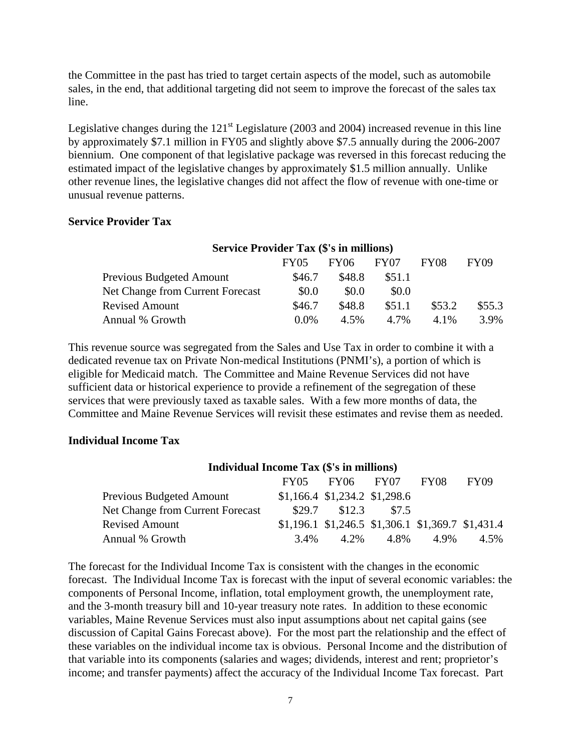the Committee in the past has tried to target certain aspects of the model, such as automobile sales, in the end, that additional targeting did not seem to improve the forecast of the sales tax line.

Legislative changes during the  $121<sup>st</sup>$  Legislature (2003 and 2004) increased revenue in this line by approximately \$7.1 million in FY05 and slightly above \$7.5 annually during the 2006-2007 biennium. One component of that legislative package was reversed in this forecast reducing the estimated impact of the legislative changes by approximately \$1.5 million annually. Unlike other revenue lines, the legislative changes did not affect the flow of revenue with one-time or unusual revenue patterns.

#### **Service Provider Tax**

| <b>Service Provider Tax (\$'s in millions)</b> |             |        |        |        |             |
|------------------------------------------------|-------------|--------|--------|--------|-------------|
|                                                | <b>FY05</b> | FY06   | FY07   | FY08   | <b>FY09</b> |
| Previous Budgeted Amount                       | \$46.7      | \$48.8 | \$51.1 |        |             |
| Net Change from Current Forecast               | \$0.0       | \$0.0  | \$0.0  |        |             |
| <b>Revised Amount</b>                          | \$46.7      | \$48.8 | \$51.1 | \$53.2 | \$55.3      |
| Annual % Growth                                | $0.0\%$     | 4.5%   | 4.7%   | 4.1%   | 3.9%        |

This revenue source was segregated from the Sales and Use Tax in order to combine it with a dedicated revenue tax on Private Non-medical Institutions (PNMI's), a portion of which is eligible for Medicaid match. The Committee and Maine Revenue Services did not have sufficient data or historical experience to provide a refinement of the segregation of these services that were previously taxed as taxable sales. With a few more months of data, the Committee and Maine Revenue Services will revisit these estimates and revise them as needed.

#### **Individual Income Tax**

| <b>Individual Income Tax (\$'s in millions)</b> |         |                                                        |       |      |             |  |
|-------------------------------------------------|---------|--------------------------------------------------------|-------|------|-------------|--|
|                                                 |         | FY05 FY06 FY07                                         |       | FY08 | <b>FY09</b> |  |
| Previous Budgeted Amount                        |         | $$1,166.4$ $$1,234.2$ $$1,298.6$                       |       |      |             |  |
| Net Change from Current Forecast                |         | \$29.7 \$12.3                                          | \$7.5 |      |             |  |
| <b>Revised Amount</b>                           |         | $$1,196.1$ $$1,246.5$ $$1,306.1$ $$1,369.7$ $$1,431.4$ |       |      |             |  |
| Annual % Growth                                 | $3.4\%$ | 4.2%                                                   | 4.8%  | 4.9% | 4.5%        |  |

The forecast for the Individual Income Tax is consistent with the changes in the economic forecast. The Individual Income Tax is forecast with the input of several economic variables: the components of Personal Income, inflation, total employment growth, the unemployment rate, and the 3-month treasury bill and 10-year treasury note rates. In addition to these economic variables, Maine Revenue Services must also input assumptions about net capital gains (see discussion of Capital Gains Forecast above). For the most part the relationship and the effect of these variables on the individual income tax is obvious. Personal Income and the distribution of that variable into its components (salaries and wages; dividends, interest and rent; proprietor's income; and transfer payments) affect the accuracy of the Individual Income Tax forecast. Part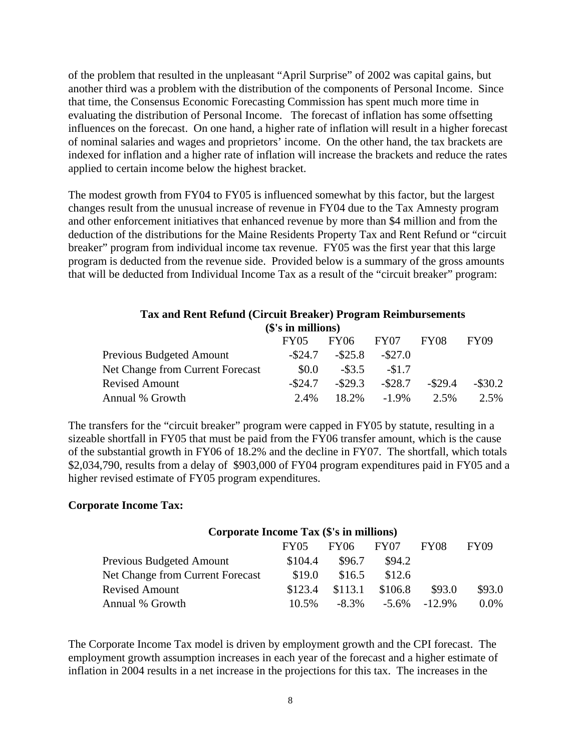of the problem that resulted in the unpleasant "April Surprise" of 2002 was capital gains, but another third was a problem with the distribution of the components of Personal Income. Since that time, the Consensus Economic Forecasting Commission has spent much more time in evaluating the distribution of Personal Income. The forecast of inflation has some offsetting influences on the forecast. On one hand, a higher rate of inflation will result in a higher forecast of nominal salaries and wages and proprietors' income. On the other hand, the tax brackets are indexed for inflation and a higher rate of inflation will increase the brackets and reduce the rates applied to certain income below the highest bracket.

The modest growth from FY04 to FY05 is influenced somewhat by this factor, but the largest changes result from the unusual increase of revenue in FY04 due to the Tax Amnesty program and other enforcement initiatives that enhanced revenue by more than \$4 million and from the deduction of the distributions for the Maine Residents Property Tax and Rent Refund or "circuit breaker" program from individual income tax revenue. FY05 was the first year that this large program is deducted from the revenue side. Provided below is a summary of the gross amounts that will be deducted from Individual Income Tax as a result of the "circuit breaker" program:

| <b>Tax and Rent Refund (Circuit Breaker) Program Reimbursements</b> |            |            |            |            |             |  |  |
|---------------------------------------------------------------------|------------|------------|------------|------------|-------------|--|--|
| (\$'s in millions)                                                  |            |            |            |            |             |  |  |
|                                                                     | FY05       | FY06       | FY07       | FY08       | <b>FY09</b> |  |  |
| <b>Previous Budgeted Amount</b>                                     | $-$ \$24.7 | $-$ \$25.8 | $-$ \$27.0 |            |             |  |  |
| <b>Net Change from Current Forecast</b>                             | \$0.0      | $-$ \$3.5  | $-\$1.7$   |            |             |  |  |
| <b>Revised Amount</b>                                               | $-$ \$24.7 | $-$ \$29.3 | $-$ \$28.7 | $-$ \$29.4 | $-$ \$30.2  |  |  |
| Annual % Growth                                                     | 2.4%       | 18.2%      | $-1.9\%$   | $2.5\%$    | 2.5%        |  |  |

The transfers for the "circuit breaker" program were capped in FY05 by statute, resulting in a sizeable shortfall in FY05 that must be paid from the FY06 transfer amount, which is the cause of the substantial growth in FY06 of 18.2% and the decline in FY07. The shortfall, which totals \$2,034,790, results from a delay of \$903,000 of FY04 program expenditures paid in FY05 and a higher revised estimate of FY05 program expenditures.

#### **Corporate Income Tax:**

## **Corporate Income Tax (\$'s in millions)**  FY05 FY06 FY07 FY08 FY09 Previous Budgeted Amount  $$104.4$  \$96.7 \$94.2 Net Change from Current Forecast \$19.0 \$16.5 \$12.6 Revised Amount \$123.4 \$113.1 \$106.8 \$93.0 \$93.0 Annual % Growth 10.5% -8.3% -5.6% -12.9% 0.0%

The Corporate Income Tax model is driven by employment growth and the CPI forecast. The employment growth assumption increases in each year of the forecast and a higher estimate of inflation in 2004 results in a net increase in the projections for this tax. The increases in the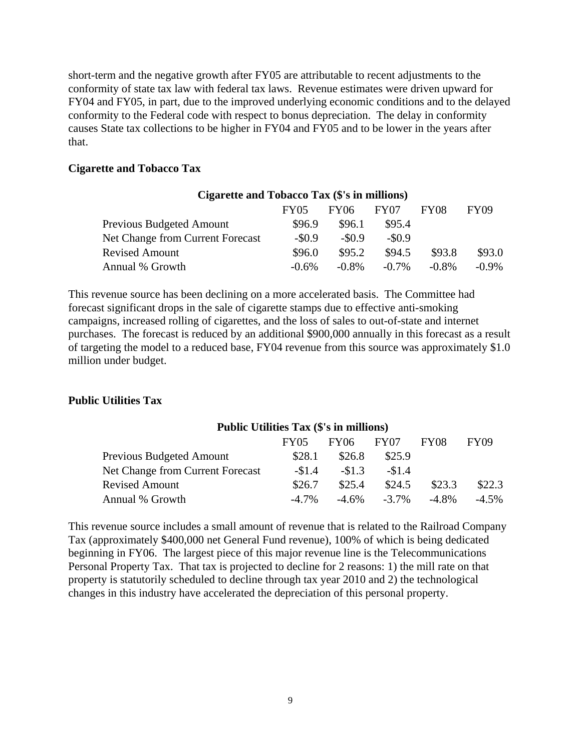short-term and the negative growth after FY05 are attributable to recent adjustments to the conformity of state tax law with federal tax laws. Revenue estimates were driven upward for FY04 and FY05, in part, due to the improved underlying economic conditions and to the delayed conformity to the Federal code with respect to bonus depreciation. The delay in conformity causes State tax collections to be higher in FY04 and FY05 and to be lower in the years after that.

#### **Cigarette and Tobacco Tax**

| Cigarette and Tobacco Tax (\$'s in millions) |             |             |                  |             |             |  |  |
|----------------------------------------------|-------------|-------------|------------------|-------------|-------------|--|--|
|                                              | <b>FY05</b> | <b>FY06</b> | FY <sub>07</sub> | <b>FY08</b> | <b>FY09</b> |  |  |
| Previous Budgeted Amount                     | \$96.9      | \$96.1      | \$95.4           |             |             |  |  |
| Net Change from Current Forecast             | $-\$0.9$    | $-\$0.9$    | $-\$0.9$         |             |             |  |  |
| <b>Revised Amount</b>                        | \$96.0      | \$95.2      | \$94.5           | \$93.8      | \$93.0      |  |  |
| Annual % Growth                              | $-0.6%$     | $-0.8\%$    | $-0.7\%$         | $-0.8\%$    | $-0.9\%$    |  |  |

This revenue source has been declining on a more accelerated basis. The Committee had forecast significant drops in the sale of cigarette stamps due to effective anti-smoking campaigns, increased rolling of cigarettes, and the loss of sales to out-of-state and internet purchases. The forecast is reduced by an additional \$900,000 annually in this forecast as a result of targeting the model to a reduced base, FY04 revenue from this source was approximately \$1.0 million under budget.

#### **Public Utilities Tax**

#### **Public Utilities Tax (\$'s in millions)**

|                                  | FY05     | FY06 =   | FY07     | FY08     | FY09     |
|----------------------------------|----------|----------|----------|----------|----------|
| Previous Budgeted Amount         | \$28.1   | \$26.8   | \$25.9   |          |          |
| Net Change from Current Forecast | $-\$1.4$ | $-81.3$  | $-\$1.4$ |          |          |
| <b>Revised Amount</b>            | \$26.7   | \$25.4   | \$24.5   | \$23.3   | \$22.3   |
| Annual % Growth                  | $-4.7\%$ | $-4.6\%$ | $-3.7\%$ | $-4.8\%$ | $-4.5\%$ |

This revenue source includes a small amount of revenue that is related to the Railroad Company Tax (approximately \$400,000 net General Fund revenue), 100% of which is being dedicated beginning in FY06. The largest piece of this major revenue line is the Telecommunications Personal Property Tax. That tax is projected to decline for 2 reasons: 1) the mill rate on that property is statutorily scheduled to decline through tax year 2010 and 2) the technological changes in this industry have accelerated the depreciation of this personal property.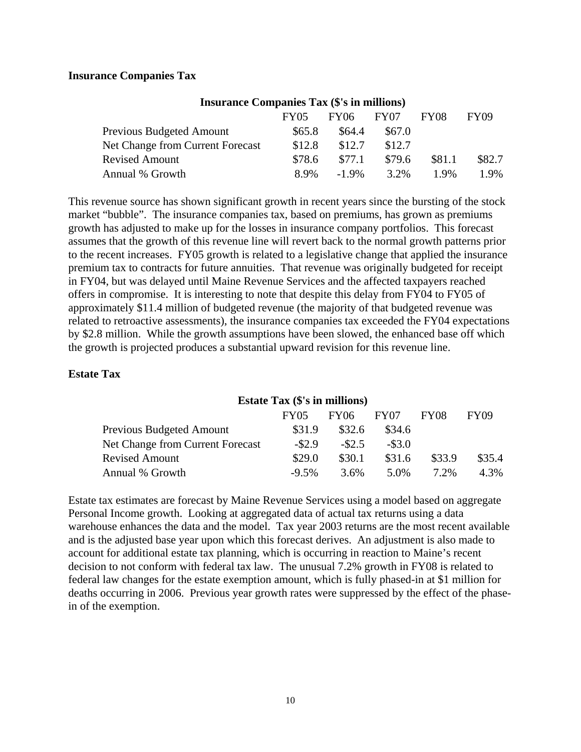#### **Insurance Companies Tax**

| Insurance Companies Tax (\$'s in millions) |        |          |        |             |             |
|--------------------------------------------|--------|----------|--------|-------------|-------------|
|                                            | FY05   | FY06     | FY07   | <b>FY08</b> | <b>FY09</b> |
| Previous Budgeted Amount                   | \$65.8 | \$64.4   | \$67.0 |             |             |
| Net Change from Current Forecast           | \$12.8 | \$12.7   | \$12.7 |             |             |
| <b>Revised Amount</b>                      | \$78.6 | \$77.1   | \$79.6 | \$81.1      | \$82.7      |
| Annual % Growth                            | 8.9%   | $-1.9\%$ | 3.2%   | 1.9%        | 1.9%        |

#### **Insurance Companies Tax (\$'s in millions)**

This revenue source has shown significant growth in recent years since the bursting of the stock market "bubble". The insurance companies tax, based on premiums, has grown as premiums growth has adjusted to make up for the losses in insurance company portfolios. This forecast assumes that the growth of this revenue line will revert back to the normal growth patterns prior to the recent increases. FY05 growth is related to a legislative change that applied the insurance premium tax to contracts for future annuities. That revenue was originally budgeted for receipt in FY04, but was delayed until Maine Revenue Services and the affected taxpayers reached offers in compromise. It is interesting to note that despite this delay from FY04 to FY05 of approximately \$11.4 million of budgeted revenue (the majority of that budgeted revenue was related to retroactive assessments), the insurance companies tax exceeded the FY04 expectations by \$2.8 million. While the growth assumptions have been slowed, the enhanced base off which the growth is projected produces a substantial upward revision for this revenue line.

#### **Estate Tax**

#### **Estate Tax (\$'s in millions)**

|                                  | <b>FY05</b> | FY06    | <b>FY07</b> | FY08    | FY09   |
|----------------------------------|-------------|---------|-------------|---------|--------|
| Previous Budgeted Amount         | \$31.9      | \$32.6  | \$34.6      |         |        |
| Net Change from Current Forecast | $-82.9$     | $-82.5$ | $-$ \$3.0   |         |        |
| <b>Revised Amount</b>            | \$29.0      | \$30.1  | \$31.6      | \$33.9  | \$35.4 |
| Annual % Growth                  | $-9.5\%$    | $3.6\%$ | 5.0%        | $7.2\%$ | 4.3%   |

Estate tax estimates are forecast by Maine Revenue Services using a model based on aggregate Personal Income growth. Looking at aggregated data of actual tax returns using a data warehouse enhances the data and the model. Tax year 2003 returns are the most recent available and is the adjusted base year upon which this forecast derives. An adjustment is also made to account for additional estate tax planning, which is occurring in reaction to Maine's recent decision to not conform with federal tax law. The unusual 7.2% growth in FY08 is related to federal law changes for the estate exemption amount, which is fully phased-in at \$1 million for deaths occurring in 2006. Previous year growth rates were suppressed by the effect of the phasein of the exemption.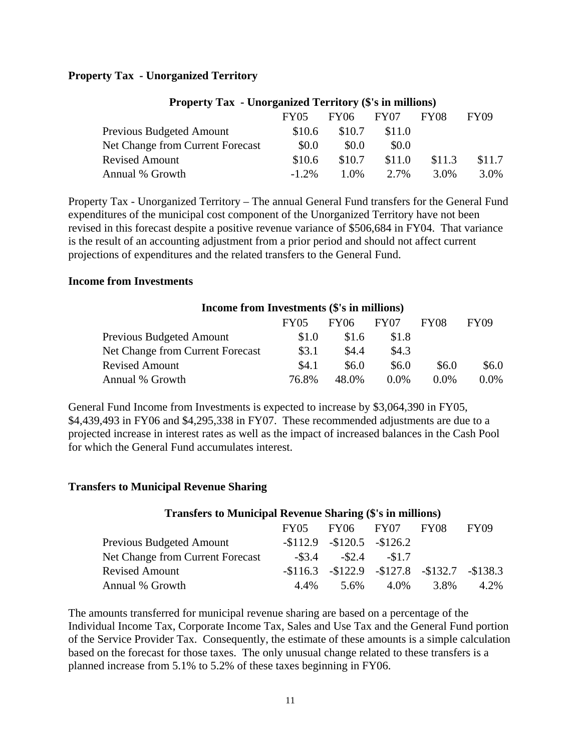#### **Property Tax - Unorganized Territory**

|                                  | <b>FY05</b> | FY06 =  | FY07   | <b>FY08</b> | FY09   |
|----------------------------------|-------------|---------|--------|-------------|--------|
| Previous Budgeted Amount         | \$10.6      | \$10.7  | \$11.0 |             |        |
| Net Change from Current Forecast | \$0.0       | \$0.0   | \$0.0  |             |        |
| <b>Revised Amount</b>            | \$10.6      | \$10.7  | \$11.0 | \$11.3      | \$11.7 |
| Annual % Growth                  | $-1.2\%$    | $1.0\%$ | 2.7%   | 3.0%        | 3.0%   |
|                                  |             |         |        |             |        |

#### **Property Tax - Unorganized Territory (\$'s in millions)**

Property Tax - Unorganized Territory – The annual General Fund transfers for the General Fund expenditures of the municipal cost component of the Unorganized Territory have not been revised in this forecast despite a positive revenue variance of \$506,684 in FY04. That variance is the result of an accounting adjustment from a prior period and should not affect current projections of expenditures and the related transfers to the General Fund.

#### **Income from Investments**

| Income from Investments (\$'s in millions) |       |       |         |             |             |  |
|--------------------------------------------|-------|-------|---------|-------------|-------------|--|
|                                            | FY05  | FY06  | FY07    | <b>FY08</b> | <b>FY09</b> |  |
| Previous Budgeted Amount                   | \$1.0 | \$1.6 | \$1.8   |             |             |  |
| Net Change from Current Forecast           | \$3.1 | \$4.4 | \$4.3   |             |             |  |
| <b>Revised Amount</b>                      | \$4.1 | \$6.0 | \$6.0   | \$6.0       | \$6.0       |  |
| Annual % Growth                            | 76.8% | 48.0% | $0.0\%$ | $0.0\%$     | $0.0\%$     |  |

General Fund Income from Investments is expected to increase by \$3,064,390 in FY05, \$4,439,493 in FY06 and \$4,295,338 in FY07. These recommended adjustments are due to a projected increase in interest rates as well as the impact of increased balances in the Cash Pool for which the General Fund accumulates interest.

#### **Transfers to Municipal Revenue Sharing**

| <b>Transfers to Municipal Revenue Sharing (\$'s in millions)</b> |           |                        |                                      |             |             |  |  |
|------------------------------------------------------------------|-----------|------------------------|--------------------------------------|-------------|-------------|--|--|
|                                                                  |           | FY05 FY06 FY07         |                                      | <b>FY08</b> | <b>FY09</b> |  |  |
| <b>Previous Budgeted Amount</b>                                  |           | $-112.9 -120.5 -126.2$ |                                      |             |             |  |  |
| <b>Net Change from Current Forecast</b>                          | $-$ \$3.4 |                        | $-\$2.4$ $-\$1.7$                    |             |             |  |  |
| <b>Revised Amount</b>                                            |           |                        | $-116.3 -122.9 -127.8 -132.7 -138.3$ |             |             |  |  |
| Annual % Growth                                                  | 4.4%      |                        | 5.6% 4.0%                            | 3.8%        | 4.2%        |  |  |

The amounts transferred for municipal revenue sharing are based on a percentage of the Individual Income Tax, Corporate Income Tax, Sales and Use Tax and the General Fund portion of the Service Provider Tax. Consequently, the estimate of these amounts is a simple calculation based on the forecast for those taxes. The only unusual change related to these transfers is a planned increase from 5.1% to 5.2% of these taxes beginning in FY06.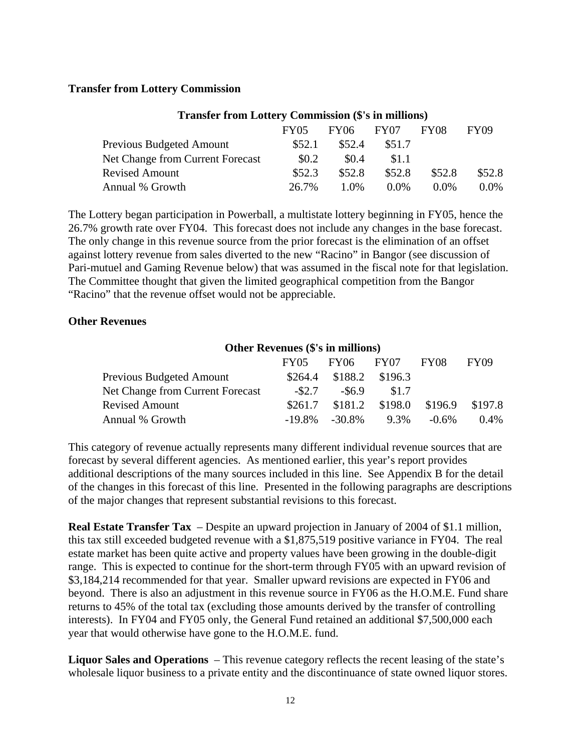#### **Transfer from Lottery Commission**

| Transier ITum Luttery Commission (5 S in minimus) |             |         |         |         |             |  |  |
|---------------------------------------------------|-------------|---------|---------|---------|-------------|--|--|
|                                                   | <b>FY05</b> | FY06 =  | FY07    | FY08    | <b>FY09</b> |  |  |
| Previous Budgeted Amount                          | \$52.1      | \$52.4  | \$51.7  |         |             |  |  |
| Net Change from Current Forecast                  | \$0.2       | \$0.4   | \$1.1   |         |             |  |  |
| <b>Revised Amount</b>                             | \$52.3      | \$52.8  | \$52.8  | \$52.8  | \$52.8      |  |  |
| Annual % Growth                                   | 26.7%       | $1.0\%$ | $0.0\%$ | $0.0\%$ | $0.0\%$     |  |  |

## **Transfer from Lottery Commission (\$'s in millions)**

The Lottery began participation in Powerball, a multistate lottery beginning in FY05, hence the 26.7% growth rate over FY04. This forecast does not include any changes in the base forecast. The only change in this revenue source from the prior forecast is the elimination of an offset against lottery revenue from sales diverted to the new "Racino" in Bangor (see discussion of Pari-mutuel and Gaming Revenue below) that was assumed in the fiscal note for that legislation. The Committee thought that given the limited geographical competition from the Bangor "Racino" that the revenue offset would not be appreciable.

#### **Other Revenues**

| <b>Other Revenues (\$'s in millions)</b> |           |                            |                   |             |                 |  |
|------------------------------------------|-----------|----------------------------|-------------------|-------------|-----------------|--|
|                                          | FY05      | FY06 FY07                  |                   | <b>FY08</b> | <b>FY09</b>     |  |
| <b>Previous Budgeted Amount</b>          |           | $$264.4$ $$188.2$ $$196.3$ |                   |             |                 |  |
| <b>Net Change from Current Forecast</b>  | $-$ \$2.7 | $-$ \$6.9                  | \$1.7             |             |                 |  |
| <b>Revised Amount</b>                    | \$261.7   |                            | $$181.2$ $$198.0$ |             | \$196.9 \$197.8 |  |
| Annual % Growth                          |           | $-19.8\% -30.8\%$          | 9.3%              | $-0.6\%$    | 0.4%            |  |

This category of revenue actually represents many different individual revenue sources that are forecast by several different agencies. As mentioned earlier, this year's report provides additional descriptions of the many sources included in this line. See Appendix B for the detail of the changes in this forecast of this line. Presented in the following paragraphs are descriptions of the major changes that represent substantial revisions to this forecast.

**Real Estate Transfer Tax** – Despite an upward projection in January of 2004 of \$1.1 million, this tax still exceeded budgeted revenue with a \$1,875,519 positive variance in FY04. The real estate market has been quite active and property values have been growing in the double-digit range. This is expected to continue for the short-term through FY05 with an upward revision of \$3,184,214 recommended for that year. Smaller upward revisions are expected in FY06 and beyond. There is also an adjustment in this revenue source in FY06 as the H.O.M.E. Fund share returns to 45% of the total tax (excluding those amounts derived by the transfer of controlling interests). In FY04 and FY05 only, the General Fund retained an additional \$7,500,000 each year that would otherwise have gone to the H.O.M.E. fund.

**Liquor Sales and Operations** – This revenue category reflects the recent leasing of the state's wholesale liquor business to a private entity and the discontinuance of state owned liquor stores.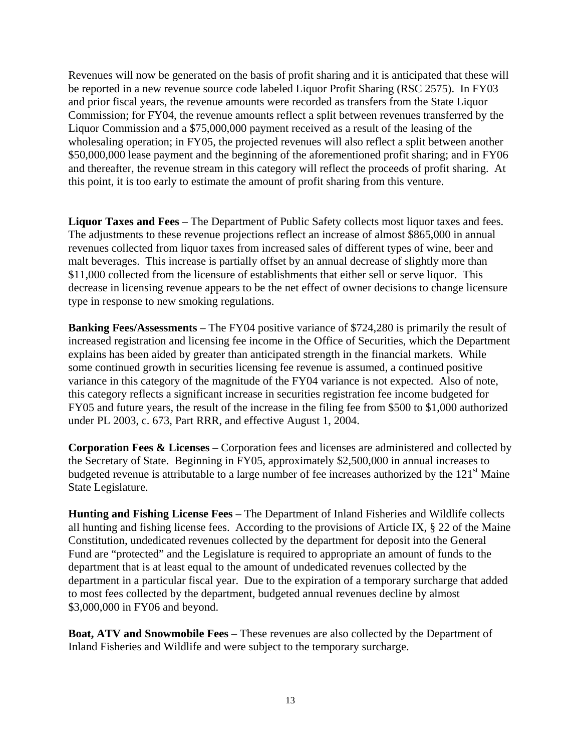Revenues will now be generated on the basis of profit sharing and it is anticipated that these will be reported in a new revenue source code labeled Liquor Profit Sharing (RSC 2575). In FY03 and prior fiscal years, the revenue amounts were recorded as transfers from the State Liquor Commission; for FY04, the revenue amounts reflect a split between revenues transferred by the Liquor Commission and a \$75,000,000 payment received as a result of the leasing of the wholesaling operation; in FY05, the projected revenues will also reflect a split between another \$50,000,000 lease payment and the beginning of the aforementioned profit sharing; and in FY06 and thereafter, the revenue stream in this category will reflect the proceeds of profit sharing. At this point, it is too early to estimate the amount of profit sharing from this venture.

**Liquor Taxes and Fees** – The Department of Public Safety collects most liquor taxes and fees. The adjustments to these revenue projections reflect an increase of almost \$865,000 in annual revenues collected from liquor taxes from increased sales of different types of wine, beer and malt beverages. This increase is partially offset by an annual decrease of slightly more than \$11,000 collected from the licensure of establishments that either sell or serve liquor. This decrease in licensing revenue appears to be the net effect of owner decisions to change licensure type in response to new smoking regulations.

**Banking Fees/Assessments** – The FY04 positive variance of \$724,280 is primarily the result of increased registration and licensing fee income in the Office of Securities, which the Department explains has been aided by greater than anticipated strength in the financial markets. While some continued growth in securities licensing fee revenue is assumed, a continued positive variance in this category of the magnitude of the FY04 variance is not expected. Also of note, this category reflects a significant increase in securities registration fee income budgeted for FY05 and future years, the result of the increase in the filing fee from \$500 to \$1,000 authorized under PL 2003, c. 673, Part RRR, and effective August 1, 2004.

**Corporation Fees & Licenses** – Corporation fees and licenses are administered and collected by the Secretary of State. Beginning in FY05, approximately \$2,500,000 in annual increases to budgeted revenue is attributable to a large number of fee increases authorized by the  $121<sup>st</sup>$  Maine State Legislature.

**Hunting and Fishing License Fees** – The Department of Inland Fisheries and Wildlife collects all hunting and fishing license fees. According to the provisions of Article IX, § 22 of the Maine Constitution, undedicated revenues collected by the department for deposit into the General Fund are "protected" and the Legislature is required to appropriate an amount of funds to the department that is at least equal to the amount of undedicated revenues collected by the department in a particular fiscal year. Due to the expiration of a temporary surcharge that added to most fees collected by the department, budgeted annual revenues decline by almost \$3,000,000 in FY06 and beyond.

**Boat, ATV and Snowmobile Fees** – These revenues are also collected by the Department of Inland Fisheries and Wildlife and were subject to the temporary surcharge.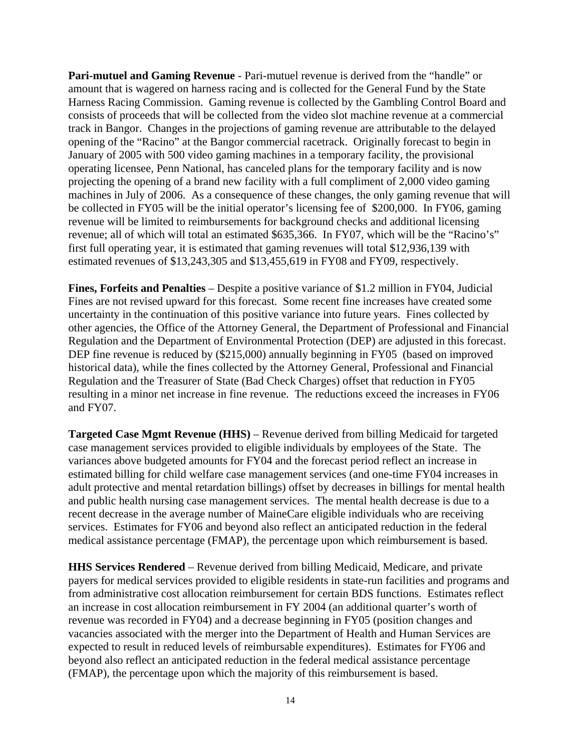**Pari-mutuel and Gaming Revenue** - Pari-mutuel revenue is derived from the "handle" or amount that is wagered on harness racing and is collected for the General Fund by the State Harness Racing Commission. Gaming revenue is collected by the Gambling Control Board and consists of proceeds that will be collected from the video slot machine revenue at a commercial track in Bangor. Changes in the projections of gaming revenue are attributable to the delayed opening of the "Racino" at the Bangor commercial racetrack. Originally forecast to begin in January of 2005 with 500 video gaming machines in a temporary facility, the provisional operating licensee, Penn National, has canceled plans for the temporary facility and is now projecting the opening of a brand new facility with a full compliment of 2,000 video gaming machines in July of 2006. As a consequence of these changes, the only gaming revenue that will be collected in FY05 will be the initial operator's licensing fee of \$200,000. In FY06, gaming revenue will be limited to reimbursements for background checks and additional licensing revenue; all of which will total an estimated \$635,366. In FY07, which will be the "Racino's" first full operating year, it is estimated that gaming revenues will total \$12,936,139 with estimated revenues of \$13,243,305 and \$13,455,619 in FY08 and FY09, respectively.

**Fines, Forfeits and Penalties** – Despite a positive variance of \$1.2 million in FY04, Judicial Fines are not revised upward for this forecast. Some recent fine increases have created some uncertainty in the continuation of this positive variance into future years. Fines collected by other agencies, the Office of the Attorney General, the Department of Professional and Financial Regulation and the Department of Environmental Protection (DEP) are adjusted in this forecast. DEP fine revenue is reduced by (\$215,000) annually beginning in FY05 (based on improved historical data), while the fines collected by the Attorney General, Professional and Financial Regulation and the Treasurer of State (Bad Check Charges) offset that reduction in FY05 resulting in a minor net increase in fine revenue. The reductions exceed the increases in FY06 and FY07.

**Targeted Case Mgmt Revenue (HHS)** – Revenue derived from billing Medicaid for targeted case management services provided to eligible individuals by employees of the State. The variances above budgeted amounts for FY04 and the forecast period reflect an increase in estimated billing for child welfare case management services (and one-time FY04 increases in adult protective and mental retardation billings) offset by decreases in billings for mental health and public health nursing case management services. The mental health decrease is due to a recent decrease in the average number of MaineCare eligible individuals who are receiving services. Estimates for FY06 and beyond also reflect an anticipated reduction in the federal medical assistance percentage (FMAP), the percentage upon which reimbursement is based.

**HHS Services Rendered** – Revenue derived from billing Medicaid, Medicare, and private payers for medical services provided to eligible residents in state-run facilities and programs and from administrative cost allocation reimbursement for certain BDS functions. Estimates reflect an increase in cost allocation reimbursement in FY 2004 (an additional quarter's worth of revenue was recorded in FY04) and a decrease beginning in FY05 (position changes and vacancies associated with the merger into the Department of Health and Human Services are expected to result in reduced levels of reimbursable expenditures). Estimates for FY06 and beyond also reflect an anticipated reduction in the federal medical assistance percentage (FMAP), the percentage upon which the majority of this reimbursement is based.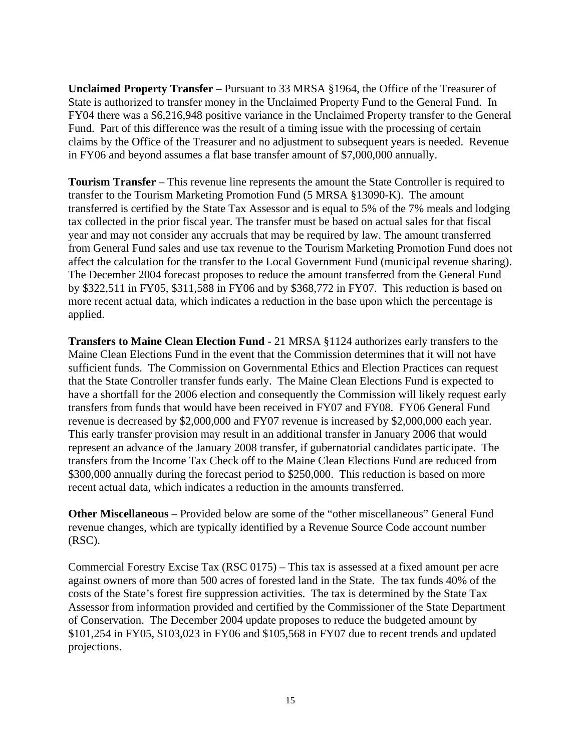**Unclaimed Property Transfer** – Pursuant to 33 MRSA §1964, the Office of the Treasurer of State is authorized to transfer money in the Unclaimed Property Fund to the General Fund. In FY04 there was a \$6,216,948 positive variance in the Unclaimed Property transfer to the General Fund. Part of this difference was the result of a timing issue with the processing of certain claims by the Office of the Treasurer and no adjustment to subsequent years is needed. Revenue in FY06 and beyond assumes a flat base transfer amount of \$7,000,000 annually.

**Tourism Transfer** – This revenue line represents the amount the State Controller is required to transfer to the Tourism Marketing Promotion Fund (5 MRSA §13090-K). The amount transferred is certified by the State Tax Assessor and is equal to 5% of the 7% meals and lodging tax collected in the prior fiscal year. The transfer must be based on actual sales for that fiscal year and may not consider any accruals that may be required by law. The amount transferred from General Fund sales and use tax revenue to the Tourism Marketing Promotion Fund does not affect the calculation for the transfer to the Local Government Fund (municipal revenue sharing). The December 2004 forecast proposes to reduce the amount transferred from the General Fund by \$322,511 in FY05, \$311,588 in FY06 and by \$368,772 in FY07. This reduction is based on more recent actual data, which indicates a reduction in the base upon which the percentage is applied.

**Transfers to Maine Clean Election Fund** - 21 MRSA §1124 authorizes early transfers to the Maine Clean Elections Fund in the event that the Commission determines that it will not have sufficient funds. The Commission on Governmental Ethics and Election Practices can request that the State Controller transfer funds early. The Maine Clean Elections Fund is expected to have a shortfall for the 2006 election and consequently the Commission will likely request early transfers from funds that would have been received in FY07 and FY08. FY06 General Fund revenue is decreased by \$2,000,000 and FY07 revenue is increased by \$2,000,000 each year. This early transfer provision may result in an additional transfer in January 2006 that would represent an advance of the January 2008 transfer, if gubernatorial candidates participate. The transfers from the Income Tax Check off to the Maine Clean Elections Fund are reduced from \$300,000 annually during the forecast period to \$250,000. This reduction is based on more recent actual data, which indicates a reduction in the amounts transferred.

**Other Miscellaneous** – Provided below are some of the "other miscellaneous" General Fund revenue changes, which are typically identified by a Revenue Source Code account number (RSC).

Commercial Forestry Excise Tax (RSC 0175) – This tax is assessed at a fixed amount per acre against owners of more than 500 acres of forested land in the State. The tax funds 40% of the costs of the State's forest fire suppression activities. The tax is determined by the State Tax Assessor from information provided and certified by the Commissioner of the State Department of Conservation. The December 2004 update proposes to reduce the budgeted amount by \$101,254 in FY05, \$103,023 in FY06 and \$105,568 in FY07 due to recent trends and updated projections.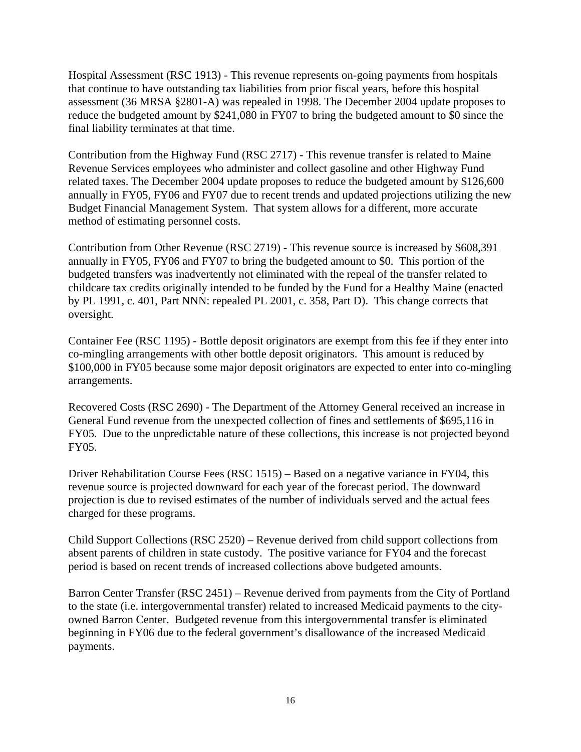Hospital Assessment (RSC 1913) - This revenue represents on-going payments from hospitals that continue to have outstanding tax liabilities from prior fiscal years, before this hospital assessment (36 MRSA §2801-A) was repealed in 1998. The December 2004 update proposes to reduce the budgeted amount by \$241,080 in FY07 to bring the budgeted amount to \$0 since the final liability terminates at that time.

Contribution from the Highway Fund (RSC 2717) - This revenue transfer is related to Maine Revenue Services employees who administer and collect gasoline and other Highway Fund related taxes. The December 2004 update proposes to reduce the budgeted amount by \$126,600 annually in FY05, FY06 and FY07 due to recent trends and updated projections utilizing the new Budget Financial Management System. That system allows for a different, more accurate method of estimating personnel costs.

Contribution from Other Revenue (RSC 2719) - This revenue source is increased by \$608,391 annually in FY05, FY06 and FY07 to bring the budgeted amount to \$0. This portion of the budgeted transfers was inadvertently not eliminated with the repeal of the transfer related to childcare tax credits originally intended to be funded by the Fund for a Healthy Maine (enacted by PL 1991, c. 401, Part NNN: repealed PL 2001, c. 358, Part D). This change corrects that oversight.

Container Fee (RSC 1195) - Bottle deposit originators are exempt from this fee if they enter into co-mingling arrangements with other bottle deposit originators. This amount is reduced by \$100,000 in FY05 because some major deposit originators are expected to enter into co-mingling arrangements.

Recovered Costs (RSC 2690) - The Department of the Attorney General received an increase in General Fund revenue from the unexpected collection of fines and settlements of \$695,116 in FY05. Due to the unpredictable nature of these collections, this increase is not projected beyond FY05.

Driver Rehabilitation Course Fees (RSC 1515) – Based on a negative variance in FY04, this revenue source is projected downward for each year of the forecast period. The downward projection is due to revised estimates of the number of individuals served and the actual fees charged for these programs.

Child Support Collections (RSC 2520) – Revenue derived from child support collections from absent parents of children in state custody. The positive variance for FY04 and the forecast period is based on recent trends of increased collections above budgeted amounts.

Barron Center Transfer (RSC 2451) – Revenue derived from payments from the City of Portland to the state (i.e. intergovernmental transfer) related to increased Medicaid payments to the cityowned Barron Center. Budgeted revenue from this intergovernmental transfer is eliminated beginning in FY06 due to the federal government's disallowance of the increased Medicaid payments.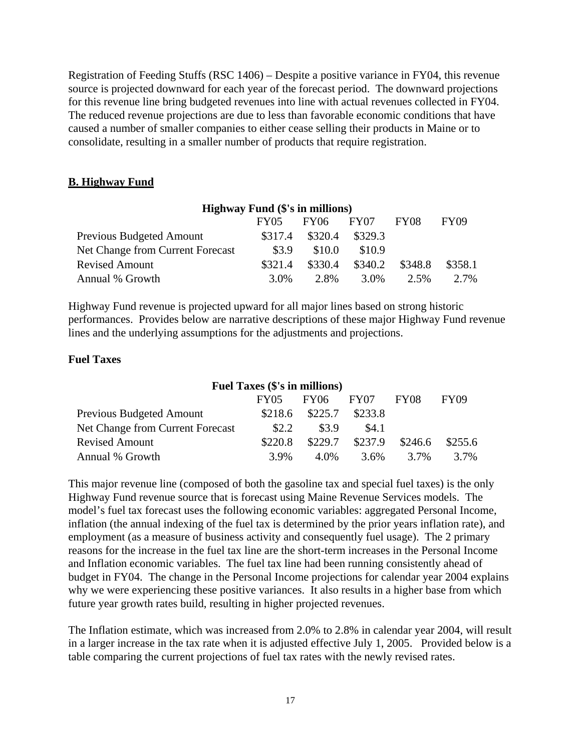Registration of Feeding Stuffs (RSC 1406) – Despite a positive variance in FY04, this revenue source is projected downward for each year of the forecast period. The downward projections for this revenue line bring budgeted revenues into line with actual revenues collected in FY04. The reduced revenue projections are due to less than favorable economic conditions that have caused a number of smaller companies to either cease selling their products in Maine or to consolidate, resulting in a smaller number of products that require registration.

## **B. Highway Fund**

| <b>Highway Fund (\$'s in millions)</b> |         |         |         |                  |             |  |
|----------------------------------------|---------|---------|---------|------------------|-------------|--|
|                                        | FY05    | FY06    | FY07    | FY <sub>08</sub> | <b>FY09</b> |  |
| Previous Budgeted Amount               | \$317.4 | \$320.4 | \$329.3 |                  |             |  |
| Net Change from Current Forecast       | \$3.9   | \$10.0  | \$10.9  |                  |             |  |
| <b>Revised Amount</b>                  | \$321.4 | \$330.4 | \$340.2 | \$348.8          | \$358.1     |  |
| Annual % Growth                        | $3.0\%$ | 2.8%    | 3.0%    | 2.5%             | 2.7%        |  |

Highway Fund revenue is projected upward for all major lines based on strong historic performances. Provides below are narrative descriptions of these major Highway Fund revenue lines and the underlying assumptions for the adjustments and projections.

#### **Fuel Taxes**

## **Fuel Taxes (\$'s in millions)**  FY05 FY06 FY07 FY08 FY09 Previous Budgeted Amount \$218.6 \$225.7 \$233.8 Net Change from Current Forecast  $$2.2$   $$3.9$   $$4.1$ Revised Amount \$220.8 \$229.7 \$237.9 \$246.6 \$255.6 Annual % Growth 3.9% 4.0% 3.6% 3.7% 3.7%

This major revenue line (composed of both the gasoline tax and special fuel taxes) is the only Highway Fund revenue source that is forecast using Maine Revenue Services models. The model's fuel tax forecast uses the following economic variables: aggregated Personal Income, inflation (the annual indexing of the fuel tax is determined by the prior years inflation rate), and employment (as a measure of business activity and consequently fuel usage). The 2 primary reasons for the increase in the fuel tax line are the short-term increases in the Personal Income and Inflation economic variables. The fuel tax line had been running consistently ahead of budget in FY04. The change in the Personal Income projections for calendar year 2004 explains why we were experiencing these positive variances. It also results in a higher base from which future year growth rates build, resulting in higher projected revenues.

The Inflation estimate, which was increased from 2.0% to 2.8% in calendar year 2004, will result in a larger increase in the tax rate when it is adjusted effective July 1, 2005. Provided below is a table comparing the current projections of fuel tax rates with the newly revised rates.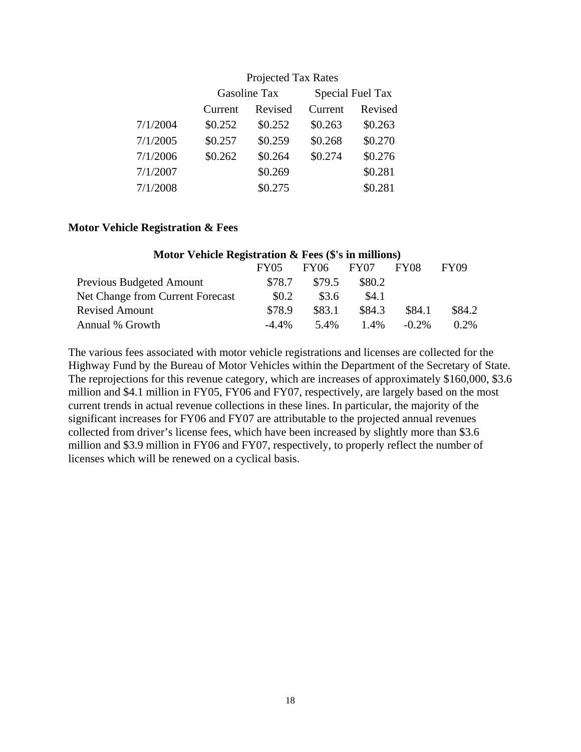|          | TTOJUUUT TAA IYAUUS |              |         |                         |  |  |
|----------|---------------------|--------------|---------|-------------------------|--|--|
|          |                     | Gasoline Tax |         | <b>Special Fuel Tax</b> |  |  |
|          | Current             | Revised      | Current | Revised                 |  |  |
| 7/1/2004 | \$0.252             | \$0.252      | \$0.263 | \$0.263                 |  |  |
| 7/1/2005 | \$0.257             | \$0.259      | \$0.268 | \$0.270                 |  |  |
| 7/1/2006 | \$0.262             | \$0.264      | \$0.274 | \$0.276                 |  |  |
| 7/1/2007 |                     | \$0.269      |         | \$0.281                 |  |  |
| 7/1/2008 |                     | \$0.275      |         | \$0.281                 |  |  |

## Projected Tax Rates

#### **Motor Vehicle Registration & Fees**

| Motor Vehicle Registration $\&$ Fees ( $\$\$ 's in millions) |          |             |                  |          |             |
|--------------------------------------------------------------|----------|-------------|------------------|----------|-------------|
|                                                              | FY05     | <b>FY06</b> | FY <sub>07</sub> | FY08     | <b>FY09</b> |
| <b>Previous Budgeted Amount</b>                              | \$78.7   | \$79.5      | \$80.2           |          |             |
| Net Change from Current Forecast                             | \$0.2    | \$3.6       | \$4.1            |          |             |
| <b>Revised Amount</b>                                        | \$78.9   | \$83.1      | \$84.3           | \$84.1   | \$84.2      |
| Annual % Growth                                              | $-4.4\%$ | 5.4%        | $1.4\%$          | $-0.2\%$ | $0.2\%$     |

The various fees associated with motor vehicle registrations and licenses are collected for the Highway Fund by the Bureau of Motor Vehicles within the Department of the Secretary of State. The reprojections for this revenue category, which are increases of approximately \$160,000, \$3.6 million and \$4.1 million in FY05, FY06 and FY07, respectively, are largely based on the most current trends in actual revenue collections in these lines. In particular, the majority of the significant increases for FY06 and FY07 are attributable to the projected annual revenues collected from driver's license fees, which have been increased by slightly more than \$3.6 million and \$3.9 million in FY06 and FY07, respectively, to properly reflect the number of licenses which will be renewed on a cyclical basis.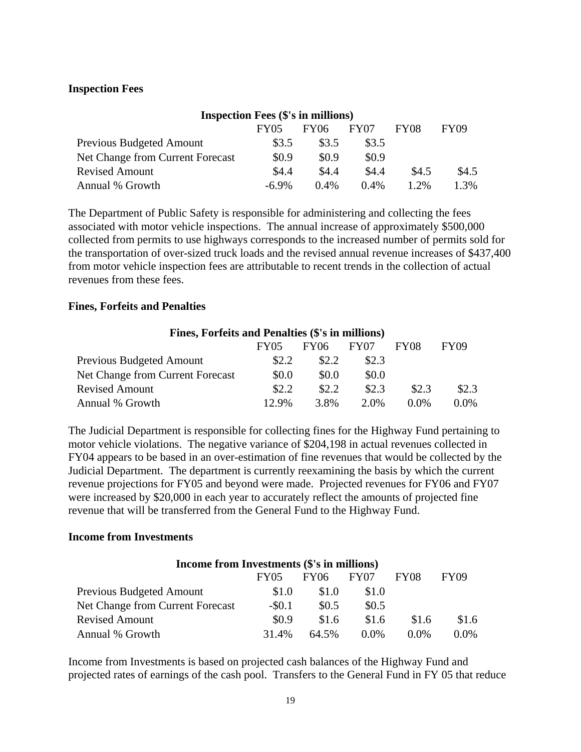#### **Inspection Fees**

| <b>Inspection Fees (\$'s in millions)</b> |             |             |                  |             |             |
|-------------------------------------------|-------------|-------------|------------------|-------------|-------------|
|                                           | <b>FY05</b> | <b>FY06</b> | FY <sub>07</sub> | <b>FY08</b> | <b>FY09</b> |
| <b>Previous Budgeted Amount</b>           | \$3.5       | \$3.5       | \$3.5            |             |             |
| Net Change from Current Forecast          | \$0.9       | \$0.9       | \$0.9            |             |             |
| <b>Revised Amount</b>                     | \$4.4       | \$4.4       | \$4.4            | \$4.5       | \$4.5       |
| Annual % Growth                           | $-6.9\%$    | $0.4\%$     | $0.4\%$          | $1.2\%$     | 1.3%        |

The Department of Public Safety is responsible for administering and collecting the fees associated with motor vehicle inspections. The annual increase of approximately \$500,000 collected from permits to use highways corresponds to the increased number of permits sold for the transportation of over-sized truck loads and the revised annual revenue increases of \$437,400 from motor vehicle inspection fees are attributable to recent trends in the collection of actual revenues from these fees.

#### **Fines, Forfeits and Penalties**

| Fines, Forfeits and Penalties (\$'s in millions) |       |             |                  |                  |             |
|--------------------------------------------------|-------|-------------|------------------|------------------|-------------|
|                                                  | FY05  | <b>FY06</b> | FY <sub>07</sub> | FY <sub>08</sub> | <b>FY09</b> |
| <b>Previous Budgeted Amount</b>                  | \$2.2 | \$2.2       | \$2.3            |                  |             |
| Net Change from Current Forecast                 | \$0.0 | \$0.0       | \$0.0            |                  |             |
| <b>Revised Amount</b>                            | \$2.2 | \$2.2       | \$2.3            | \$2.3            | \$2.3       |
| Annual % Growth                                  | 12.9% | 3.8%        | 2.0%             | $0.0\%$          | 0.0%        |

The Judicial Department is responsible for collecting fines for the Highway Fund pertaining to motor vehicle violations. The negative variance of \$204,198 in actual revenues collected in FY04 appears to be based in an over-estimation of fine revenues that would be collected by the Judicial Department. The department is currently reexamining the basis by which the current revenue projections for FY05 and beyond were made. Projected revenues for FY06 and FY07 were increased by \$20,000 in each year to accurately reflect the amounts of projected fine revenue that will be transferred from the General Fund to the Highway Fund.

#### **Income from Investments**

| Income from Investments (\$'s in millions) |             |             |                  |         |             |
|--------------------------------------------|-------------|-------------|------------------|---------|-------------|
|                                            | <b>FY05</b> | <b>FY06</b> | FY <sub>07</sub> | FY08    | <b>FY09</b> |
| Previous Budgeted Amount                   | \$1.0       | \$1.0       | \$1.0            |         |             |
| Net Change from Current Forecast           | $-$ \$0.1   | \$0.5       | \$0.5            |         |             |
| <b>Revised Amount</b>                      | \$0.9       | \$1.6       | \$1.6            | \$1.6   | \$1.6       |
| Annual % Growth                            | 31.4%       | 64.5%       | $0.0\%$          | $0.0\%$ | $0.0\%$     |

Income from Investments is based on projected cash balances of the Highway Fund and projected rates of earnings of the cash pool. Transfers to the General Fund in FY 05 that reduce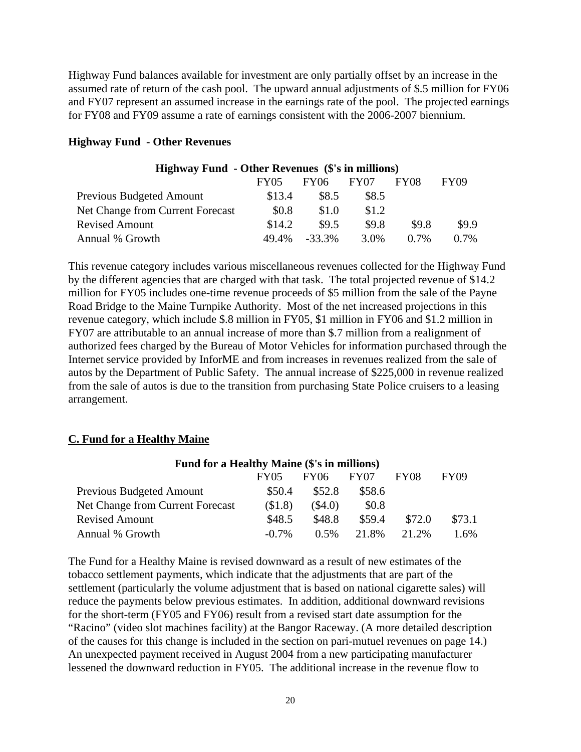Highway Fund balances available for investment are only partially offset by an increase in the assumed rate of return of the cash pool. The upward annual adjustments of \$.5 million for FY06 and FY07 represent an assumed increase in the earnings rate of the pool. The projected earnings for FY08 and FY09 assume a rate of earnings consistent with the 2006-2007 biennium.

| <b>Highway Fund - Other Revenues (\$'s in millions)</b> |        |           |       |         |             |
|---------------------------------------------------------|--------|-----------|-------|---------|-------------|
|                                                         | FY05   | FY06      | FY07  | FY08    | <b>FY09</b> |
| Previous Budgeted Amount                                | \$13.4 | \$8.5     | \$8.5 |         |             |
| Net Change from Current Forecast                        | \$0.8  | \$1.0     | \$1.2 |         |             |
| <b>Revised Amount</b>                                   | \$14.2 | \$9.5     | \$9.8 | \$9.8   | \$9.9       |
| Annual % Growth                                         | 49.4%  | $-33.3\%$ | 3.0%  | $0.7\%$ | $0.7\%$     |

#### **Highway Fund - Other Revenues**

This revenue category includes various miscellaneous revenues collected for the Highway Fund by the different agencies that are charged with that task. The total projected revenue of \$14.2 million for FY05 includes one-time revenue proceeds of \$5 million from the sale of the Payne Road Bridge to the Maine Turnpike Authority. Most of the net increased projections in this revenue category, which include \$.8 million in FY05, \$1 million in FY06 and \$1.2 million in FY07 are attributable to an annual increase of more than \$.7 million from a realignment of authorized fees charged by the Bureau of Motor Vehicles for information purchased through the Internet service provided by InforME and from increases in revenues realized from the sale of autos by the Department of Public Safety. The annual increase of \$225,000 in revenue realized from the sale of autos is due to the transition from purchasing State Police cruisers to a leasing arrangement.

#### **C. Fund for a Healthy Maine**

| Fund for a Healthy Maine (\$'s in millions) |          |         |        |        |             |
|---------------------------------------------|----------|---------|--------|--------|-------------|
|                                             | FY05     | FY06    | FY07   | FY08   | <b>FY09</b> |
| <b>Previous Budgeted Amount</b>             | \$50.4   | \$52.8  | \$58.6 |        |             |
| Net Change from Current Forecast            | \$1.8    | (\$4.0) | \$0.8  |        |             |
| <b>Revised Amount</b>                       | \$48.5   | \$48.8  | \$59.4 | \$72.0 | \$73.1      |
| Annual % Growth                             | $-0.7\%$ | $0.5\%$ | 21.8%  | 2.1.2% | 1.6%        |

The Fund for a Healthy Maine is revised downward as a result of new estimates of the tobacco settlement payments, which indicate that the adjustments that are part of the settlement (particularly the volume adjustment that is based on national cigarette sales) will reduce the payments below previous estimates. In addition, additional downward revisions for the short-term (FY05 and FY06) result from a revised start date assumption for the "Racino" (video slot machines facility) at the Bangor Raceway. (A more detailed description of the causes for this change is included in the section on pari-mutuel revenues on page 14.) An unexpected payment received in August 2004 from a new participating manufacturer lessened the downward reduction in FY05. The additional increase in the revenue flow to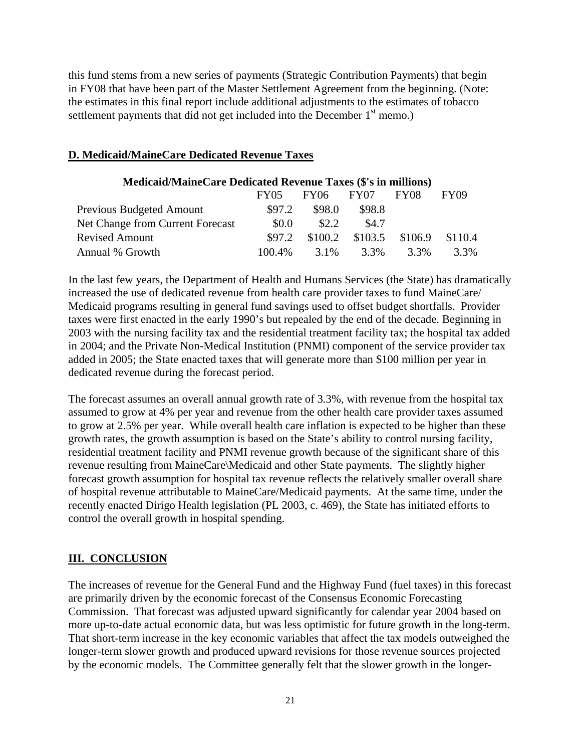this fund stems from a new series of payments (Strategic Contribution Payments) that begin in FY08 that have been part of the Master Settlement Agreement from the beginning. (Note: the estimates in this final report include additional adjustments to the estimates of tobacco settlement payments that did not get included into the December  $1<sup>st</sup>$  memo.)

#### **D. Medicaid/MaineCare Dedicated Revenue Taxes**

| <b>Medicaid/MaineCare Dedicated Revenue Taxes (\$'s in millions)</b> |             |         |         |             |             |
|----------------------------------------------------------------------|-------------|---------|---------|-------------|-------------|
|                                                                      | <b>FY05</b> | FY06    | FY07    | <b>FY08</b> | <b>FY09</b> |
| <b>Previous Budgeted Amount</b>                                      | \$97.2      | \$98.0  | \$98.8  |             |             |
| Net Change from Current Forecast                                     | \$0.0       | \$2.2   | \$4.7   |             |             |
| <b>Revised Amount</b>                                                | \$97.2      | \$100.2 | \$103.5 | \$106.9     | \$110.4     |
| Annual % Growth                                                      | 100.4%      | 3.1%    | 3.3%    | 3.3%        | 3.3%        |

In the last few years, the Department of Health and Humans Services (the State) has dramatically increased the use of dedicated revenue from health care provider taxes to fund MaineCare/ Medicaid programs resulting in general fund savings used to offset budget shortfalls. Provider taxes were first enacted in the early 1990's but repealed by the end of the decade. Beginning in 2003 with the nursing facility tax and the residential treatment facility tax; the hospital tax added in 2004; and the Private Non-Medical Institution (PNMI) component of the service provider tax added in 2005; the State enacted taxes that will generate more than \$100 million per year in dedicated revenue during the forecast period.

The forecast assumes an overall annual growth rate of 3.3%, with revenue from the hospital tax assumed to grow at 4% per year and revenue from the other health care provider taxes assumed to grow at 2.5% per year. While overall health care inflation is expected to be higher than these growth rates, the growth assumption is based on the State's ability to control nursing facility, residential treatment facility and PNMI revenue growth because of the significant share of this revenue resulting from MaineCare\Medicaid and other State payments. The slightly higher forecast growth assumption for hospital tax revenue reflects the relatively smaller overall share of hospital revenue attributable to MaineCare/Medicaid payments. At the same time, under the recently enacted Dirigo Health legislation (PL 2003, c. 469), the State has initiated efforts to control the overall growth in hospital spending.

## **III. CONCLUSION**

The increases of revenue for the General Fund and the Highway Fund (fuel taxes) in this forecast are primarily driven by the economic forecast of the Consensus Economic Forecasting Commission. That forecast was adjusted upward significantly for calendar year 2004 based on more up-to-date actual economic data, but was less optimistic for future growth in the long-term. That short-term increase in the key economic variables that affect the tax models outweighed the longer-term slower growth and produced upward revisions for those revenue sources projected by the economic models. The Committee generally felt that the slower growth in the longer